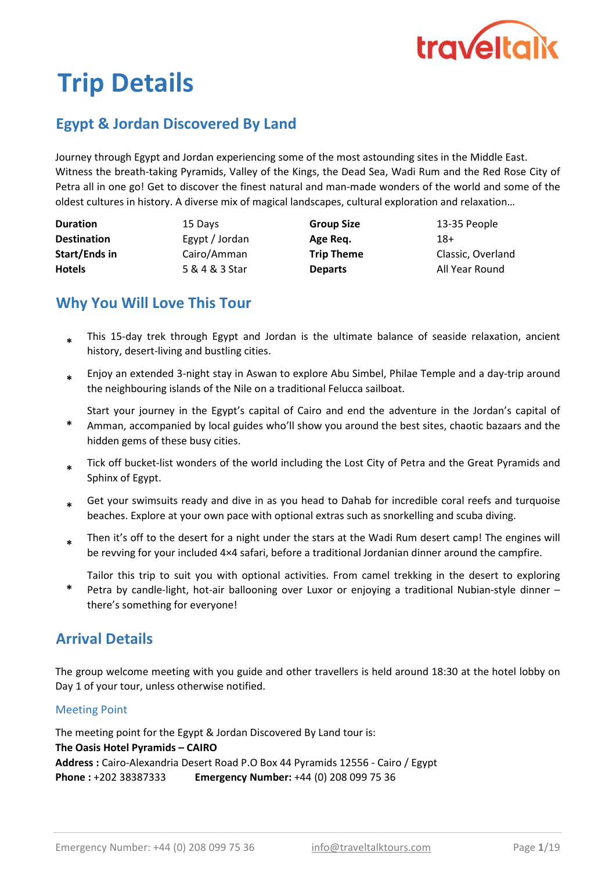

# Trip Details

# Egypt & Jordan Discovered By Land

Journey through Egypt and Jordan experiencing some of the most astounding sites in the Middle East. Witness the breath-taking Pyramids, Valley of the Kings, the Dead Sea, Wadi Rum and the Red Rose City of Petra all in one go! Get to discover the finest natural and man-made wonders of the world and some of the oldest cultures in history. A diverse mix of magical landscapes, cultural exploration and relaxation…

| <b>Duration</b>      | 15 Days        | <b>Group Size</b> | 13-35 People      |
|----------------------|----------------|-------------------|-------------------|
| <b>Destination</b>   | Egypt / Jordan | Age Reg.          | 18+               |
| <b>Start/Ends in</b> | Cairo/Amman    | <b>Trip Theme</b> | Classic, Overland |
| <b>Hotels</b>        | 5 & 4 & 3 Star | <b>Departs</b>    | All Year Round    |

# Why You Will Love This Tour

- This 15-day trek through Egypt and Jordan is the ultimate balance of seaside relaxation, ancient history, desert-living and bustling cities. \*
- \* Enjoy an extended 3-night stay in Aswan to explore Abu Simbel, Philae Temple and a day-trip around the neighbouring islands of the Nile on a traditional Felucca sailboat.

\* Start your journey in the Egypt's capital of Cairo and end the adventure in the Jordan's capital of

- Amman, accompanied by local guides who'll show you around the best sites, chaotic bazaars and the hidden gems of these busy cities.
- \* Tick off bucket-list wonders of the world including the Lost City of Petra and the Great Pyramids and Sphinx of Egypt.
- \* Get your swimsuits ready and dive in as you head to Dahab for incredible coral reefs and turquoise beaches. Explore at your own pace with optional extras such as snorkelling and scuba diving.
- \* Then it's off to the desert for a night under the stars at the Wadi Rum desert camp! The engines will be revving for your included 4×4 safari, before a traditional Jordanian dinner around the campfire.

Tailor this trip to suit you with optional activities. From camel trekking in the desert to exploring

\* Petra by candle-light, hot-air ballooning over Luxor or enjoying a traditional Nubian-style dinner – there's something for everyone!

## Arrival Details

The group welcome meeting with you guide and other travellers is held around 18:30 at the hotel lobby on Day 1 of your tour, unless otherwise notified.

#### Meeting Point

The meeting point for the Egypt & Jordan Discovered By Land tour is: The Oasis Hotel Pyramids – CAIRO Address : Cairo-Alexandria Desert Road P.O Box 44 Pyramids 12556 - Cairo / Egypt Phone : +202 38387333 Emergency Number: +44 (0) 208 099 75 36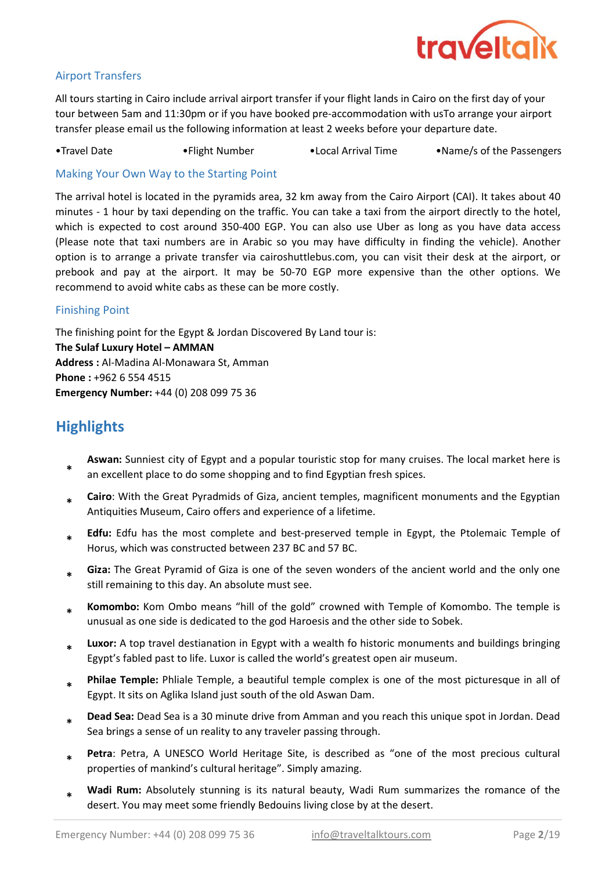

#### Airport Transfers

All tours starting in Cairo include arrival airport transfer if your flight lands in Cairo on the first day of your tour between 5am and 11:30pm or if you have booked pre-accommodation with usTo arrange your airport transfer please email us the following information at least 2 weeks before your departure date.

•Travel Date •Flight Number •Local Arrival Time •Name/s of the Passengers

Making Your Own Way to the Starting Point

The arrival hotel is located in the pyramids area, 32 km away from the Cairo Airport (CAI). It takes about 40 minutes - 1 hour by taxi depending on the traffic. You can take a taxi from the airport directly to the hotel, which is expected to cost around 350-400 EGP. You can also use Uber as long as you have data access (Please note that taxi numbers are in Arabic so you may have difficulty in finding the vehicle). Another option is to arrange a private transfer via cairoshuttlebus.com, you can visit their desk at the airport, or prebook and pay at the airport. It may be 50-70 EGP more expensive than the other options. We recommend to avoid white cabs as these can be more costly.

#### Finishing Point

The finishing point for the Egypt & Jordan Discovered By Land tour is: **The Sulaf Luxury Hotel – AMMAN** Address : Al-Madina Al-Monawara St, Amman Phone : +962 6 554 4515 Emergency Number: +44 (0) 208 099 75 36

# **Highlights**

- \* Aswan: Sunniest city of Egypt and a popular touristic stop for many cruises. The local market here is an excellent place to do some shopping and to find Egyptian fresh spices.
- \* Cairo: With the Great Pyradmids of Giza, ancient temples, magnificent monuments and the Egyptian Antiquities Museum, Cairo offers and experience of a lifetime.
- \* Edfu: Edfu has the most complete and best-preserved temple in Egypt, the Ptolemaic Temple of Horus, which was constructed between 237 BC and 57 BC.
- \* Giza: The Great Pyramid of Giza is one of the seven wonders of the ancient world and the only one still remaining to this day. An absolute must see.
- \* Komombo: Kom Ombo means "hill of the gold" crowned with Temple of Komombo. The temple is unusual as one side is dedicated to the god Haroesis and the other side to Sobek.
- \* Luxor: A top travel destianation in Egypt with a wealth fo historic monuments and buildings bringing Egypt's fabled past to life. Luxor is called the world's greatest open air museum.
- \* Philae Temple: Phliale Temple, a beautiful temple complex is one of the most picturesque in all of Egypt. It sits on Aglika Island just south of the old Aswan Dam.
- \* Dead Sea: Dead Sea is a 30 minute drive from Amman and you reach this unique spot in Jordan. Dead Sea brings a sense of un reality to any traveler passing through.
- \* Petra: Petra, A UNESCO World Heritage Site, is described as "one of the most precious cultural properties of mankind's cultural heritage". Simply amazing.
- \* Wadi Rum: Absolutely stunning is its natural beauty, Wadi Rum summarizes the romance of the desert. You may meet some friendly Bedouins living close by at the desert.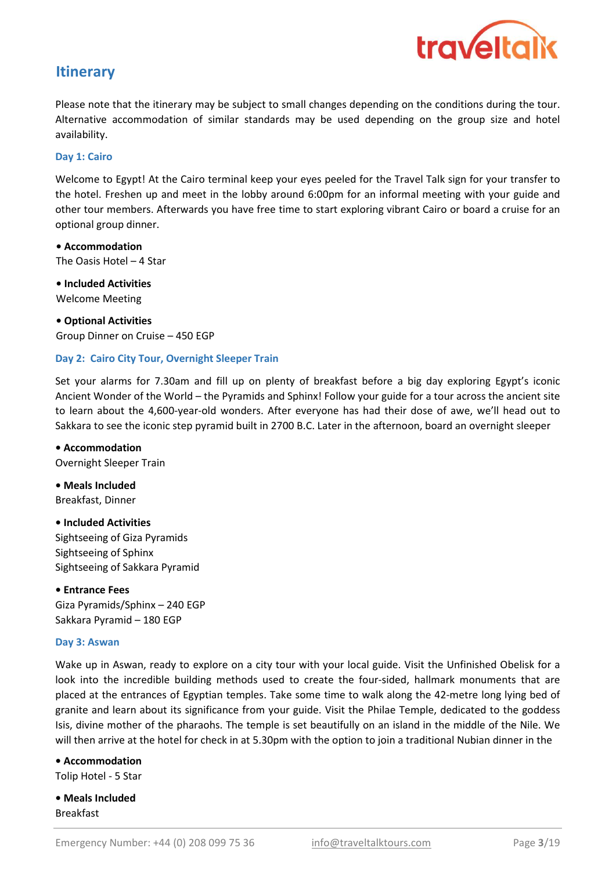

## **Itinerary**

Please note that the itinerary may be subject to small changes depending on the conditions during the tour. Alternative accommodation of similar standards may be used depending on the group size and hotel availability.

#### Day 1: Cairo

Welcome to Egypt! At the Cairo terminal keep your eyes peeled for the Travel Talk sign for your transfer to the hotel. Freshen up and meet in the lobby around 6:00pm for an informal meeting with your guide and other tour members. Afterwards you have free time to start exploring vibrant Cairo or board a cruise for an optional group dinner.

• Accommodation The Oasis Hotel – 4 Star

• Included Activities Welcome Meeting

• Optional Activities Group Dinner on Cruise – 450 EGP

#### Day 2: Cairo City Tour, Overnight Sleeper Train

Set your alarms for 7.30am and fill up on plenty of breakfast before a big day exploring Egypt's iconic Ancient Wonder of the World – the Pyramids and Sphinx! Follow your guide for a tour across the ancient site to learn about the 4,600-year-old wonders. After everyone has had their dose of awe, we'll head out to Sakkara to see the iconic step pyramid built in 2700 B.C. Later in the afternoon, board an overnight sleeper

• Accommodation Overnight Sleeper Train

• Meals Included Breakfast, Dinner

#### • Included Activities

Sightseeing of Giza Pyramids Sightseeing of Sphinx Sightseeing of Sakkara Pyramid

• Entrance Fees Giza Pyramids/Sphinx – 240 EGP Sakkara Pyramid – 180 EGP

#### Day 3: Aswan

Wake up in Aswan, ready to explore on a city tour with your local guide. Visit the Unfinished Obelisk for a look into the incredible building methods used to create the four-sided, hallmark monuments that are placed at the entrances of Egyptian temples. Take some time to walk along the 42-metre long lying bed of granite and learn about its significance from your guide. Visit the Philae Temple, dedicated to the goddess Isis, divine mother of the pharaohs. The temple is set beautifully on an island in the middle of the Nile. We will then arrive at the hotel for check in at 5.30pm with the option to join a traditional Nubian dinner in the

• Accommodation Tolip Hotel - 5 Star

• Meals Included Breakfast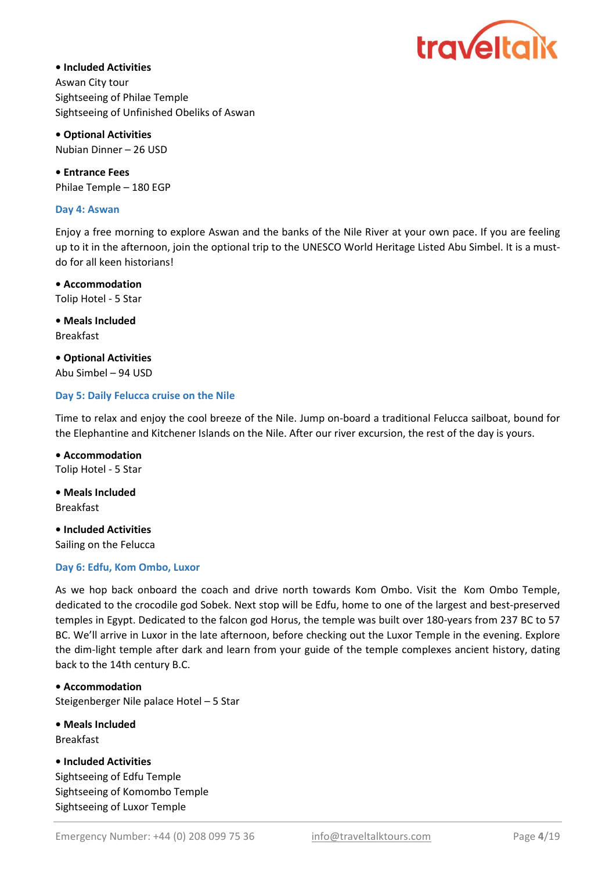

Aswan City tour Sightseeing of Philae Temple Sightseeing of Unfinished Obeliks of Aswan • Included Activities

• Optional Activities Nubian Dinner – 26 USD

• Entrance Fees Philae Temple – 180 EGP

#### Day 4: Aswan

Enjoy a free morning to explore Aswan and the banks of the Nile River at your own pace. If you are feeling up to it in the afternoon, join the optional trip to the UNESCO World Heritage Listed Abu Simbel. It is a mustdo for all keen historians!

Tolip Hotel - 5 Star • Accommodation

Breakfast • Meals Included

• Optional Activities Abu Simbel – 94 USD

#### Day 5: Daily Felucca cruise on the Nile

Time to relax and enjoy the cool breeze of the Nile. Jump on-board a traditional Felucca sailboat, bound for the Elephantine and Kitchener Islands on the Nile. After our river excursion, the rest of the day is yours.

• Accommodation Tolip Hotel - 5 Star

• Meals Included Breakfast

• Included Activities Sailing on the Felucca

#### Day 6: Edfu, Kom Ombo, Luxor

As we hop back onboard the coach and drive north towards Kom Ombo. Visit the Kom Ombo Temple, dedicated to the crocodile god Sobek. Next stop will be Edfu, home to one of the largest and best-preserved temples in Egypt. Dedicated to the falcon god Horus, the temple was built over 180-years from 237 BC to 57 BC. We'll arrive in Luxor in the late afternoon, before checking out the Luxor Temple in the evening. Explore the dim-light temple after dark and learn from your guide of the temple complexes ancient history, dating back to the 14th century B.C.

• Accommodation Steigenberger Nile palace Hotel – 5 Star

• Meals Included Breakfast

Sightseeing of Komombo Temple Sightseeing of Luxor Temple • Included Activities Sightseeing of Edfu Temple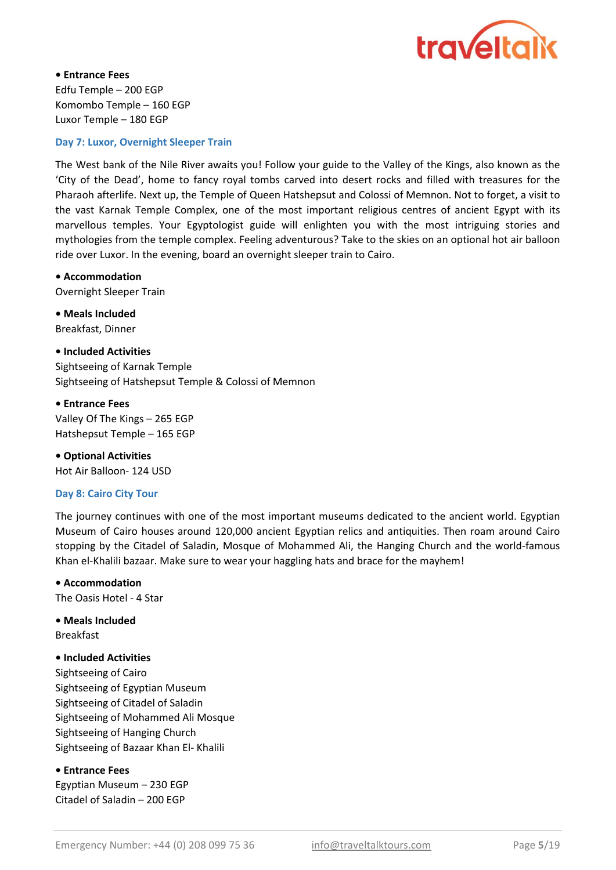

• Entrance Fees Edfu Temple – 200 EGP Komombo Temple – 160 EGP Luxor Temple – 180 EGP

#### Day 7: Luxor, Overnight Sleeper Train

The West bank of the Nile River awaits you! Follow your guide to the Valley of the Kings, also known as the 'City of the Dead', home to fancy royal tombs carved into desert rocks and filled with treasures for the Pharaoh afterlife. Next up, the Temple of Queen Hatshepsut and Colossi of Memnon. Not to forget, a visit to the vast Karnak Temple Complex, one of the most important religious centres of ancient Egypt with its marvellous temples. Your Egyptologist guide will enlighten you with the most intriguing stories and mythologies from the temple complex. Feeling adventurous? Take to the skies on an optional hot air balloon ride over Luxor. In the evening, board an overnight sleeper train to Cairo.

#### • Accommodation

Overnight Sleeper Train

• Meals Included Breakfast, Dinner

• Included Activities Sightseeing of Karnak Temple Sightseeing of Hatshepsut Temple & Colossi of Memnon

• Entrance Fees Valley Of The Kings – 265 EGP Hatshepsut Temple – 165 EGP

• Optional Activities Hot Air Balloon- 124 USD

#### Day 8: Cairo City Tour

The journey continues with one of the most important museums dedicated to the ancient world. Egyptian Museum of Cairo houses around 120,000 ancient Egyptian relics and antiquities. Then roam around Cairo stopping by the Citadel of Saladin, Mosque of Mohammed Ali, the Hanging Church and the world-famous Khan el-Khalili bazaar. Make sure to wear your haggling hats and brace for the mayhem!

#### • Accommodation

The Oasis Hotel - 4 Star

• Meals Included Breakfast

#### • Included Activities

Sightseeing of Cairo Sightseeing of Egyptian Museum Sightseeing of Citadel of Saladin Sightseeing of Mohammed Ali Mosque Sightseeing of Hanging Church Sightseeing of Bazaar Khan El- Khalili

#### • Entrance Fees

Egyptian Museum – 230 EGP Citadel of Saladin – 200 EGP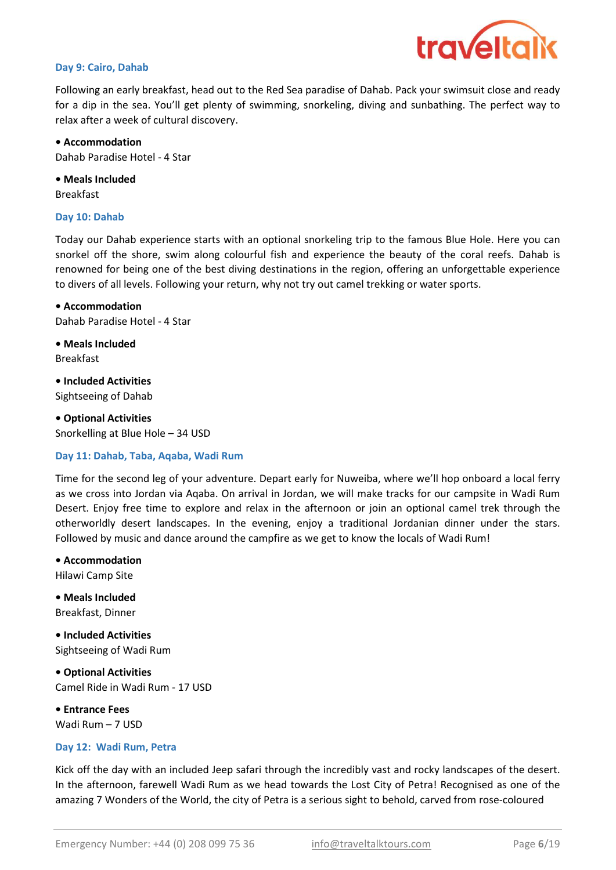

#### Day 9: Cairo, Dahab

Following an early breakfast, head out to the Red Sea paradise of Dahab. Pack your swimsuit close and ready for a dip in the sea. You'll get plenty of swimming, snorkeling, diving and sunbathing. The perfect way to relax after a week of cultural discovery.

• Accommodation Dahab Paradise Hotel - 4 Star

• Meals Included Breakfast

#### Day 10: Dahab

Today our Dahab experience starts with an optional snorkeling trip to the famous Blue Hole. Here you can snorkel off the shore, swim along colourful fish and experience the beauty of the coral reefs. Dahab is renowned for being one of the best diving destinations in the region, offering an unforgettable experience to divers of all levels. Following your return, why not try out camel trekking or water sports.

• Accommodation Dahab Paradise Hotel - 4 Star

• Meals Included Breakfast

Sightseeing of Dahab • Included Activities

• Optional Activities Snorkelling at Blue Hole – 34 USD

#### Day 11: Dahab, Taba, Aqaba, Wadi Rum

Time for the second leg of your adventure. Depart early for Nuweiba, where we'll hop onboard a local ferry as we cross into Jordan via Aqaba. On arrival in Jordan, we will make tracks for our campsite in Wadi Rum Desert. Enjoy free time to explore and relax in the afternoon or join an optional camel trek through the otherworldly desert landscapes. In the evening, enjoy a traditional Jordanian dinner under the stars. Followed by music and dance around the campfire as we get to know the locals of Wadi Rum!

Hilawi Camp Site • Accommodation

Breakfast, Dinner • Meals Included

Sightseeing of Wadi Rum • Included Activities

• Optional Activities Camel Ride in Wadi Rum - 17 USD

• Entrance Fees Wadi Rum – 7 USD

#### Day 12: Wadi Rum, Petra

Kick off the day with an included Jeep safari through the incredibly vast and rocky landscapes of the desert. In the afternoon, farewell Wadi Rum as we head towards the Lost City of Petra! Recognised as one of the amazing 7 Wonders of the World, the city of Petra is a serious sight to behold, carved from rose-coloured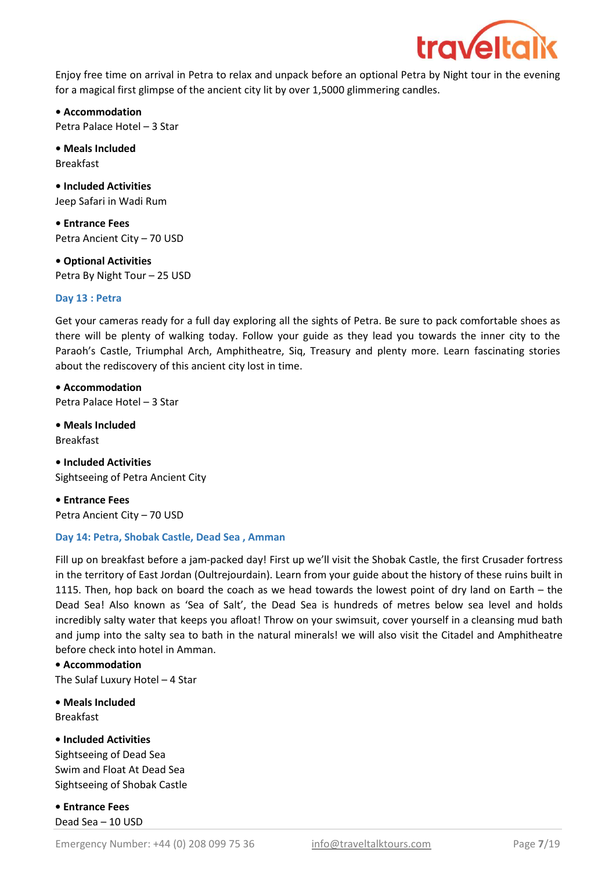

Enjoy free time on arrival in Petra to relax and unpack before an optional Petra by Night tour in the evening for a magical first glimpse of the ancient city lit by over 1,5000 glimmering candles.

• Accommodation Petra Palace Hotel – 3 Star

• Meals Included Breakfast

• Included Activities Jeep Safari in Wadi Rum

• Entrance Fees Petra Ancient City – 70 USD

• Optional Activities Petra By Night Tour – 25 USD

#### Day 13 : Petra

Get your cameras ready for a full day exploring all the sights of Petra. Be sure to pack comfortable shoes as there will be plenty of walking today. Follow your guide as they lead you towards the inner city to the Paraoh's Castle, Triumphal Arch, Amphitheatre, Siq, Treasury and plenty more. Learn fascinating stories about the rediscovery of this ancient city lost in time.

• Accommodation Petra Palace Hotel – 3 Star

Breakfast • Meals Included

• Included Activities Sightseeing of Petra Ancient City

• Entrance Fees Petra Ancient City – 70 USD

#### Day 14: Petra, Shobak Castle, Dead Sea , Amman

Fill up on breakfast before a jam-packed day! First up we'll visit the Shobak Castle, the first Crusader fortress in the territory of East Jordan (Oultrejourdain). Learn from your guide about the history of these ruins built in 1115. Then, hop back on board the coach as we head towards the lowest point of dry land on Earth – the Dead Sea! Also known as 'Sea of Salt', the Dead Sea is hundreds of metres below sea level and holds incredibly salty water that keeps you afloat! Throw on your swimsuit, cover yourself in a cleansing mud bath and jump into the salty sea to bath in the natural minerals! we will also visit the Citadel and Amphitheatre before check into hotel in Amman.

• Accommodation

The Sulaf Luxury Hotel – 4 Star

• Meals Included Breakfast

• Included Activities Sightseeing of Dead Sea Swim and Float At Dead Sea Sightseeing of Shobak Castle

• Entrance Fees Dead Sea – 10 USD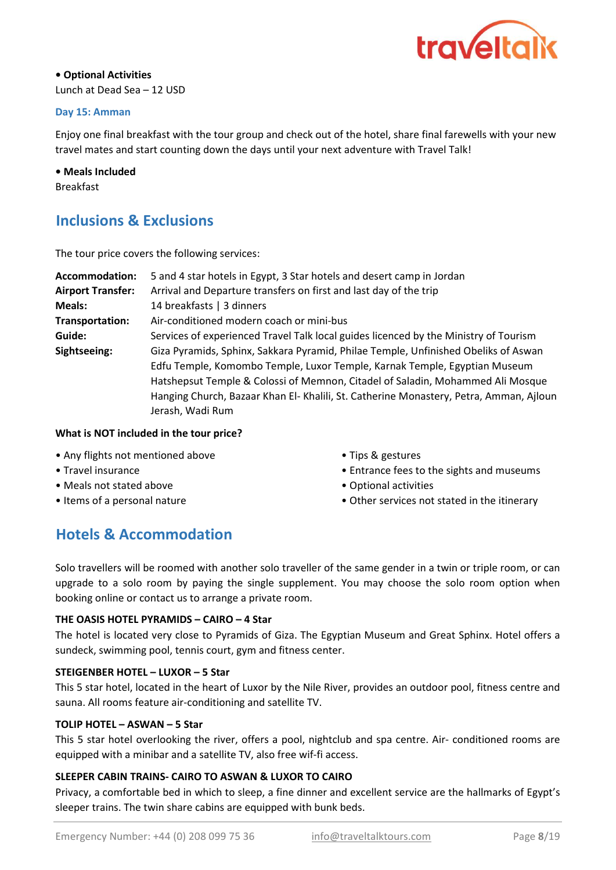

#### • Optional Activities Lunch at Dead Sea – 12 USD

#### Day 15: Amman

Enjoy one final breakfast with the tour group and check out of the hotel, share final farewells with your new travel mates and start counting down the days until your next adventure with Travel Talk!

# • Meals Included

Breakfast

# Inclusions & Exclusions

The tour price covers the following services:

| Accommodation:           | 5 and 4 star hotels in Egypt, 3 Star hotels and desert camp in Jordan                                                                                                                                                                                                                                                                                           |
|--------------------------|-----------------------------------------------------------------------------------------------------------------------------------------------------------------------------------------------------------------------------------------------------------------------------------------------------------------------------------------------------------------|
| <b>Airport Transfer:</b> | Arrival and Departure transfers on first and last day of the trip                                                                                                                                                                                                                                                                                               |
| Meals:                   | 14 breakfasts   3 dinners                                                                                                                                                                                                                                                                                                                                       |
| Transportation:          | Air-conditioned modern coach or mini-bus                                                                                                                                                                                                                                                                                                                        |
| Guide:                   | Services of experienced Travel Talk local guides licenced by the Ministry of Tourism                                                                                                                                                                                                                                                                            |
| Sightseeing:             | Giza Pyramids, Sphinx, Sakkara Pyramid, Philae Temple, Unfinished Obeliks of Aswan<br>Edfu Temple, Komombo Temple, Luxor Temple, Karnak Temple, Egyptian Museum<br>Hatshepsut Temple & Colossi of Memnon, Citadel of Saladin, Mohammed Ali Mosque<br>Hanging Church, Bazaar Khan El- Khalili, St. Catherine Monastery, Petra, Amman, Ajloun<br>Jerash, Wadi Rum |

#### What is NOT included in the tour price?

- Any flights not mentioned above
- Travel insurance
- Meals not stated above
- Items of a personal nature
- Tips & gestures
- Entrance fees to the sights and museums
- Optional activities
- Other services not stated in the itinerary

# Hotels & Accommodation

Solo travellers will be roomed with another solo traveller of the same gender in a twin or triple room, or can upgrade to a solo room by paying the single supplement. You may choose the solo room option when booking online or contact us to arrange a private room.

#### THE OASIS HOTEL PYRAMIDS – CAIRO – 4 Star

The hotel is located very close to Pyramids of Giza. The Egyptian Museum and Great Sphinx. Hotel offers a sundeck, swimming pool, tennis court, gym and fitness center.

#### STEIGENBER HOTEL – LUXOR – 5 Star

This 5 star hotel, located in the heart of Luxor by the Nile River, provides an outdoor pool, fitness centre and sauna. All rooms feature air-conditioning and satellite TV.

#### TOLIP HOTEL – ASWAN – 5 Star

This 5 star hotel overlooking the river, offers a pool, nightclub and spa centre. Air- conditioned rooms are equipped with a minibar and a satellite TV, also free wif-fi access.

#### SLEEPER CABIN TRAINS- CAIRO TO ASWAN & LUXOR TO CAIRO

Privacy, a comfortable bed in which to sleep, a fine dinner and excellent service are the hallmarks of Egypt's sleeper trains. The twin share cabins are equipped with bunk beds.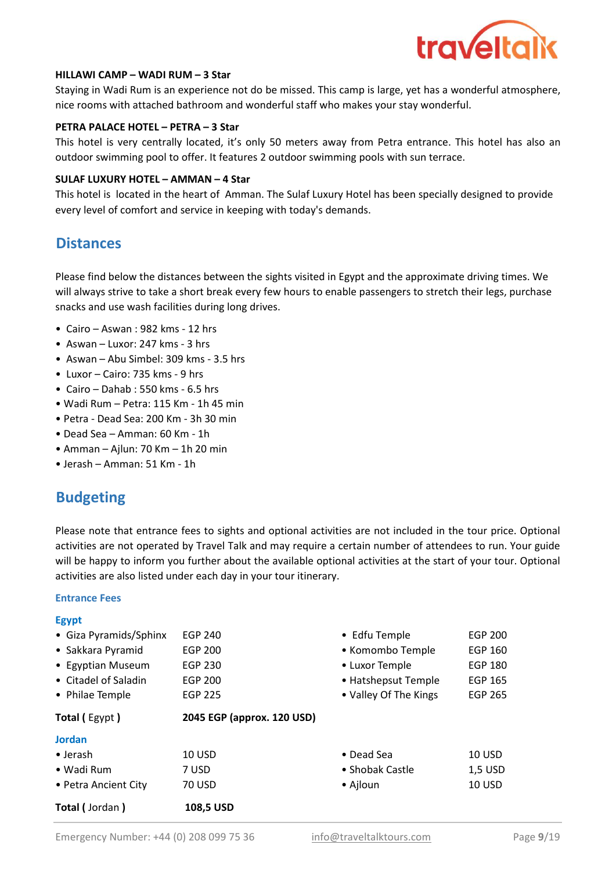

#### HILLAWI CAMP – WADI RUM – 3 Star

Staying in Wadi Rum is an experience not do be missed. This camp is large, yet has a wonderful atmosphere, nice rooms with attached bathroom and wonderful staff who makes your stay wonderful.

#### PETRA PALACE HOTEL – PETRA – 3 Star

This hotel is very centrally located, it's only 50 meters away from Petra entrance. This hotel has also an outdoor swimming pool to offer. It features 2 outdoor swimming pools with sun terrace.

#### **SULAF LUXURY HOTEL – AMMAN – 4 Star**

This hotel is located in the heart of Amman. The Sulaf Luxury Hotel has been specially designed to provide every level of comfort and service in keeping with today's demands.

### **Distances**

Please find below the distances between the sights visited in Egypt and the approximate driving times. We will always strive to take a short break every few hours to enable passengers to stretch their legs, purchase snacks and use wash facilities during long drives.

- Cairo Aswan : 982 kms 12 hrs
- Aswan Luxor: 247 kms 3 hrs
- Aswan Abu Simbel: 309 kms 3.5 hrs
- Luxor Cairo: 735 kms 9 hrs
- Cairo Dahab : 550 kms 6.5 hrs
- Wadi Rum Petra: 115 Km 1h 45 min
- Petra Dead Sea: 200 Km 3h 30 min
- Dead Sea Amman: 60 Km 1h
- $\bullet$  Amman Ailun: 70 Km 1h 20 min
- Jerash Amman: 51 Km 1h

## Budgeting

Please note that entrance fees to sights and optional activities are not included in the tour price. Optional activities are not operated by Travel Talk and may require a certain number of attendees to run. Your guide will be happy to inform you further about the available optional activities at the start of your tour. Optional activities are also listed under each day in your tour itinerary.

#### Entrance Fees

Egypt

| <b>Total (Jordan)</b>  | 108,5 USD                  |                       |                |
|------------------------|----------------------------|-----------------------|----------------|
| • Petra Ancient City   | <b>70 USD</b>              | • Ajloun              | <b>10 USD</b>  |
| • Wadi Rum             | 7 USD                      | • Shobak Castle       | 1,5 USD        |
| $\bullet$ Jerash       | 10 USD                     | $\bullet$ Dead Sea    | 10 USD         |
| <b>Jordan</b>          |                            |                       |                |
| <b>Total (Egypt)</b>   | 2045 EGP (approx. 120 USD) |                       |                |
| • Philae Temple        | <b>EGP 225</b>             | • Valley Of The Kings | <b>EGP 265</b> |
| • Citadel of Saladin   | <b>EGP 200</b>             | • Hatshepsut Temple   | <b>EGP 165</b> |
| • Egyptian Museum      | <b>EGP 230</b>             | • Luxor Temple        | <b>EGP 180</b> |
| • Sakkara Pyramid      | <b>EGP 200</b>             | • Komombo Temple      | <b>EGP 160</b> |
| • Giza Pyramids/Sphinx | <b>EGP 240</b>             | • Edfu Temple         | <b>EGP 200</b> |
| <b>LEVPL</b>           |                            |                       |                |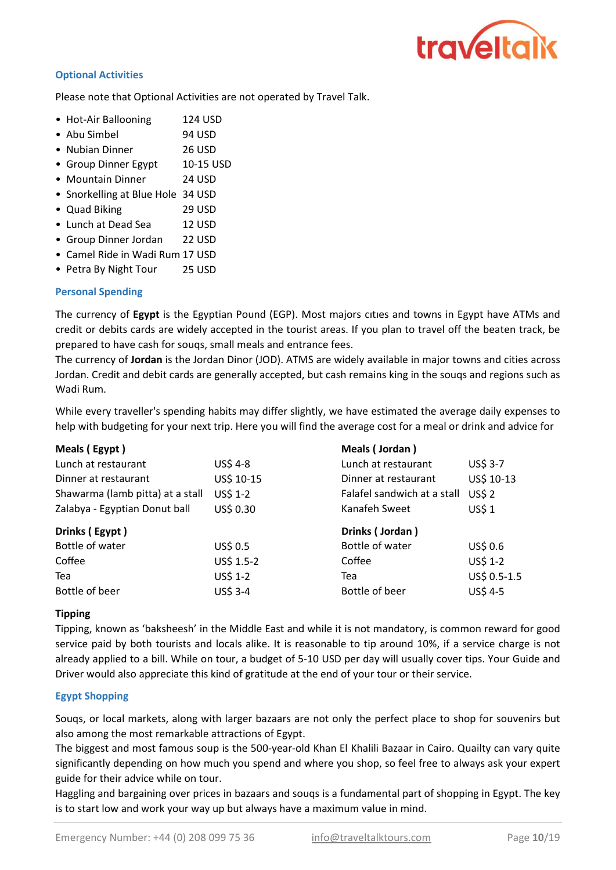

#### Optional Activities

Please note that Optional Activities are not operated by Travel Talk.

29 USD

- Hot-Air Ballooning 124 USD
- Abu Simbel 94 USD
- Nubian Dinner 26 USD
- Group Dinner Egypt 10-15 USD
- Mountain Dinner 24 USD
- Snorkelling at Blue Hole 34 USD
- Quad Biking
- Lunch at Dead Sea 12 USD
- Group Dinner Jordan 22 USD
- Camel Ride in Wadi Rum 17 USD
- Petra By Night Tour 25 USD

#### Personal Spending

The currency of Egypt is the Egyptian Pound (EGP). Most majors cities and towns in Egypt have ATMs and credit or debits cards are widely accepted in the tourist areas. If you plan to travel off the beaten track, be prepared to have cash for souqs, small meals and entrance fees.

The currency of Jordan is the Jordan Dinor (JOD). ATMS are widely available in major towns and cities across Jordan. Credit and debit cards are generally accepted, but cash remains king in the souqs and regions such as Wadi Rum.

While every traveller's spending habits may differ slightly, we have estimated the average daily expenses to help with budgeting for your next trip. Here you will find the average cost for a meal or drink and advice for

| Meals (Egypt)                    |            | Meals (Jordan)              |              |
|----------------------------------|------------|-----------------------------|--------------|
| Lunch at restaurant              | US\$ 4-8   | Lunch at restaurant         | US\$ 3-7     |
| Dinner at restaurant             | US\$ 10-15 | Dinner at restaurant        | US\$ 10-13   |
| Shawarma (lamb pitta) at a stall | US\$ 1-2   | Falafel sandwich at a stall | <b>US\$2</b> |
| Zalabya - Egyptian Donut ball    | US\$ 0.30  | Kanafeh Sweet               | US\$1        |
|                                  |            |                             |              |
| Drinks (Egypt)                   |            | Drinks (Jordan)             |              |
| Bottle of water                  | US\$ 0.5   | Bottle of water             | US\$ 0.6     |
| Coffee                           | US\$ 1.5-2 | Coffee                      | US\$ 1-2     |
| Tea                              | US\$ 1-2   | Tea                         | US\$ 0.5-1.5 |

#### Tipping

Tipping, known as 'baksheesh' in the Middle East and while it is not mandatory, is common reward for good service paid by both tourists and locals alike. It is reasonable to tip around 10%, if a service charge is not already applied to a bill. While on tour, a budget of 5-10 USD per day will usually cover tips. Your Guide and Driver would also appreciate this kind of gratitude at the end of your tour or their service.

#### Egypt Shopping

Souqs, or local markets, along with larger bazaars are not only the perfect place to shop for souvenirs but also among the most remarkable attractions of Egypt.

The biggest and most famous soup is the 500-year-old Khan El Khalili Bazaar in Cairo. Quailty can vary quite significantly depending on how much you spend and where you shop, so feel free to always ask your expert guide for their advice while on tour.

Haggling and bargaining over prices in bazaars and souqs is a fundamental part of shopping in Egypt. The key is to start low and work your way up but always have a maximum value in mind.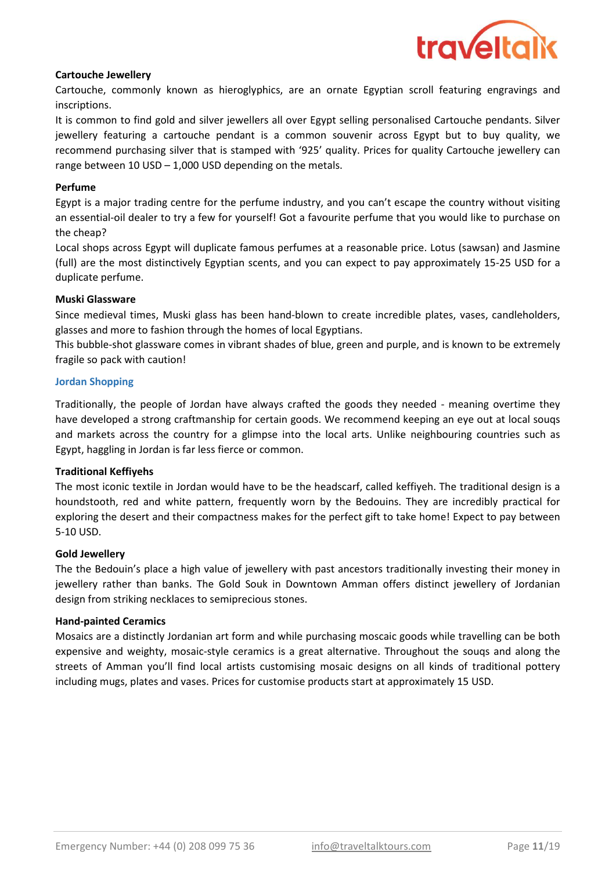

#### Cartouche Jewellery

Cartouche, commonly known as hieroglyphics, are an ornate Egyptian scroll featuring engravings and inscriptions.

It is common to find gold and silver jewellers all over Egypt selling personalised Cartouche pendants. Silver jewellery featuring a cartouche pendant is a common souvenir across Egypt but to buy quality, we recommend purchasing silver that is stamped with '925' quality. Prices for quality Cartouche jewellery can range between 10 USD – 1,000 USD depending on the metals.

#### Perfume

Egypt is a major trading centre for the perfume industry, and you can't escape the country without visiting an essential-oil dealer to try a few for yourself! Got a favourite perfume that you would like to purchase on the cheap?

Local shops across Egypt will duplicate famous perfumes at a reasonable price. Lotus (sawsan) and Jasmine (full) are the most distinctively Egyptian scents, and you can expect to pay approximately 15-25 USD for a duplicate perfume.

#### Muski Glassware

Since medieval times, Muski glass has been hand-blown to create incredible plates, vases, candleholders, glasses and more to fashion through the homes of local Egyptians.

This bubble-shot glassware comes in vibrant shades of blue, green and purple, and is known to be extremely fragile so pack with caution!

#### Jordan Shopping

Traditionally, the people of Jordan have always crafted the goods they needed - meaning overtime they have developed a strong craftmanship for certain goods. We recommend keeping an eye out at local souqs and markets across the country for a glimpse into the local arts. Unlike neighbouring countries such as Egypt, haggling in Jordan is far less fierce or common.

#### Traditional Keffiyehs

The most iconic textile in Jordan would have to be the headscarf, called keffiyeh. The traditional design is a houndstooth, red and white pattern, frequently worn by the Bedouins. They are incredibly practical for exploring the desert and their compactness makes for the perfect gift to take home! Expect to pay between 5-10 USD.

#### Gold Jewellery

The the Bedouin's place a high value of jewellery with past ancestors traditionally investing their money in jewellery rather than banks. The Gold Souk in Downtown Amman offers distinct jewellery of Jordanian design from striking necklaces to semiprecious stones.

#### Hand-painted Ceramics

Mosaics are a distinctly Jordanian art form and while purchasing moscaic goods while travelling can be both expensive and weighty, mosaic-style ceramics is a great alternative. Throughout the souqs and along the streets of Amman you'll find local artists customising mosaic designs on all kinds of traditional pottery including mugs, plates and vases. Prices for customise products start at approximately 15 USD.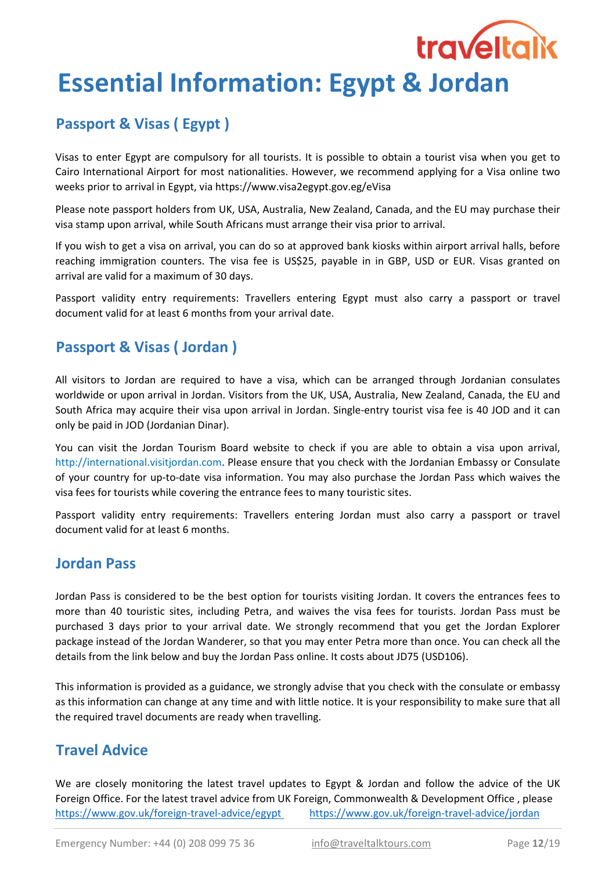# Essential Information: Egypt & Jordan

# Passport & Visas ( Egypt )

Visas to enter Egypt are compulsory for all tourists. It is possible to obtain a tourist visa when you get to Cairo International Airport for most nationalities. However, we recommend applying for a Visa online two weeks prior to arrival in Egypt, via https://www.visa2egypt.gov.eg/eVisa

**traveltaik** 

Please note passport holders from UK, USA, Australia, New Zealand, Canada, and the EU may purchase their visa stamp upon arrival, while South Africans must arrange their visa prior to arrival.

If you wish to get a visa on arrival, you can do so at approved bank kiosks within airport arrival halls, before reaching immigration counters. The visa fee is US\$25, payable in in GBP, USD or EUR. Visas granted on arrival are valid for a maximum of 30 days.

Passport validity entry requirements: Travellers entering Egypt must also carry a passport or travel document valid for at least 6 months from your arrival date.

# Passport & Visas ( Jordan )

All visitors to Jordan are required to have a visa, which can be arranged through Jordanian consulates worldwide or upon arrival in Jordan. Visitors from the UK, USA, Australia, New Zealand, Canada, the EU and South Africa may acquire their visa upon arrival in Jordan. Single-entry tourist visa fee is 40 JOD and it can only be paid in JOD (Jordanian Dinar).

You can visit the Jordan Tourism Board website to check if you are able to obtain a visa upon arrival, http://international.visitjordan.com. Please ensure that you check with the Jordanian Embassy or Consulate of your country for up-to-date visa information. You may also purchase the Jordan Pass which waives the visa fees for tourists while covering the entrance fees to many touristic sites.

Passport validity entry requirements: Travellers entering Jordan must also carry a passport or travel document valid for at least 6 months.

## Jordan Pass

Jordan Pass is considered to be the best option for tourists visiting Jordan. It covers the entrances fees to more than 40 touristic sites, including Petra, and waives the visa fees for tourists. Jordan Pass must be purchased 3 days prior to your arrival date. We strongly recommend that you get the Jordan Explorer package instead of the Jordan Wanderer, so that you may enter Petra more than once. You can check all the details from the link below and buy the Jordan Pass online. It costs about JD75 (USD106).

This information is provided as a guidance, we strongly advise that you check with the consulate or embassy as this information can change at any time and with little notice. It is your responsibility to make sure that all the required travel documents are ready when travelling.

# Travel Advice

https://www.gov.uk/foreign-travel-advice/egypt We are closely monitoring the latest travel updates to Egypt & Jordan and follow the advice of the UK Foreign Office. For the latest travel advice from UK Foreign, Commonwealth & Development Office , please https://www.gov.uk/foreign-travel-advice/jordan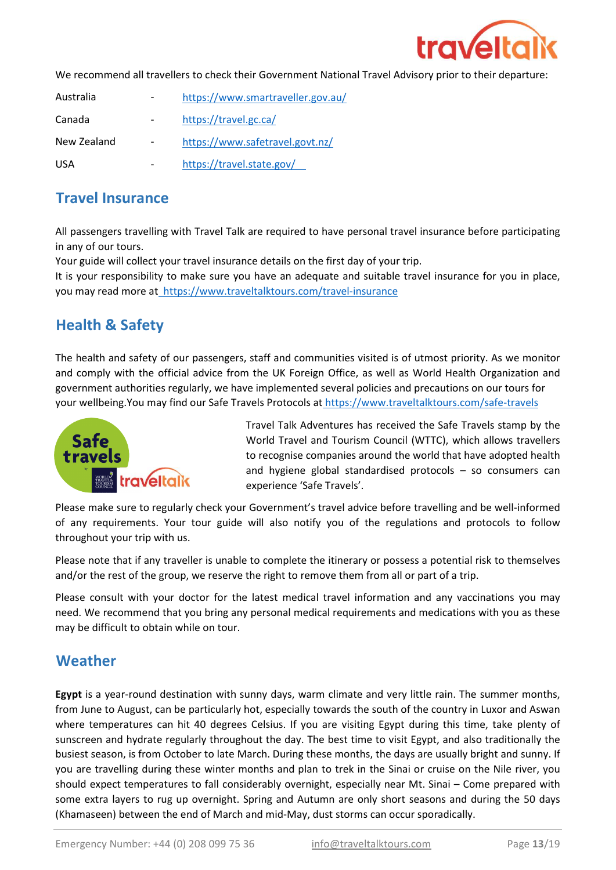

We recommend all travellers to check their Government National Travel Advisory prior to their departure:

| Australia   | https://www.smartraveller.gov.au/ |
|-------------|-----------------------------------|
| Canada      | https://travel.gc.ca/             |
| New Zealand | https://www.safetravel.govt.nz/   |
| USA         | https://travel.state.gov/         |

### Travel Insurance

All passengers travelling with Travel Talk are required to have personal travel insurance before participating in any of our tours.

Your guide will collect your travel insurance details on the first day of your trip.

It is your responsibility to make sure you have an adequate and suitable travel insurance for you in place, you may read more at https://www.traveltalktours.com/travel-insurance

# Health & Safety

The health and safety of our passengers, staff and communities visited is of utmost priority. As we monitor and comply with the official advice from the UK Foreign Office, as well as World Health Organization and government authorities regularly, we have implemented several policies and precautions on our tours for your wellbeing.You may find our Safe Travels Protocols at https://www.traveltalktours.com/safe-travels



Travel Talk Adventures has received the Safe Travels stamp by the World Travel and Tourism Council (WTTC), which allows travellers to recognise companies around the world that have adopted health and hygiene global standardised protocols – so consumers can experience 'Safe Travels'.

Please make sure to regularly check your Government's travel advice before travelling and be well-informed of any requirements. Your tour guide will also notify you of the regulations and protocols to follow throughout your trip with us.

Please note that if any traveller is unable to complete the itinerary or possess a potential risk to themselves and/or the rest of the group, we reserve the right to remove them from all or part of a trip.

Please consult with your doctor for the latest medical travel information and any vaccinations you may need. We recommend that you bring any personal medical requirements and medications with you as these may be difficult to obtain while on tour.

## Weather

Egypt is a year-round destination with sunny days, warm climate and very little rain. The summer months, from June to August, can be particularly hot, especially towards the south of the country in Luxor and Aswan where temperatures can hit 40 degrees Celsius. If you are visiting Egypt during this time, take plenty of sunscreen and hydrate regularly throughout the day. The best time to visit Egypt, and also traditionally the busiest season, is from October to late March. During these months, the days are usually bright and sunny. If you are travelling during these winter months and plan to trek in the Sinai or cruise on the Nile river, you should expect temperatures to fall considerably overnight, especially near Mt. Sinai – Come prepared with some extra layers to rug up overnight. Spring and Autumn are only short seasons and during the 50 days (Khamaseen) between the end of March and mid-May, dust storms can occur sporadically.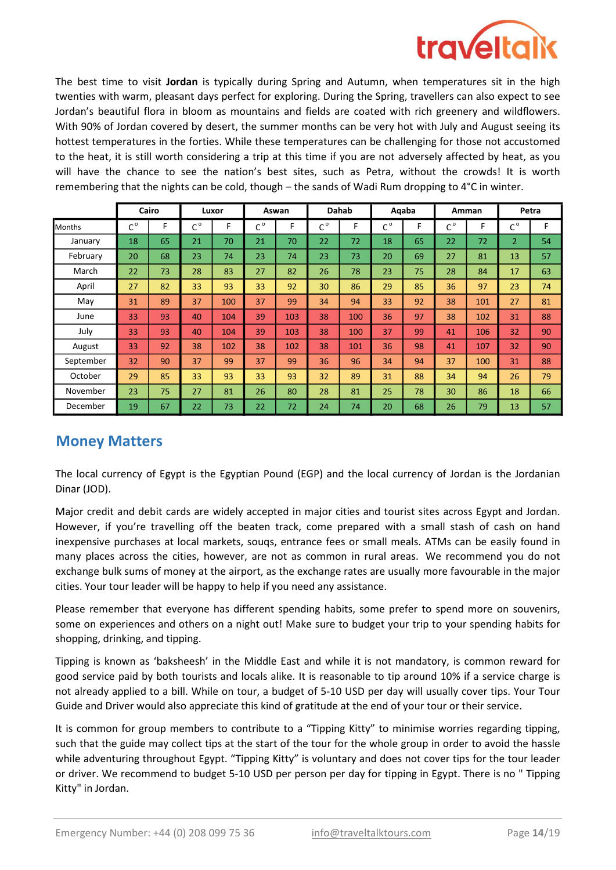

The best time to visit Jordan is typically during Spring and Autumn, when temperatures sit in the high twenties with warm, pleasant days perfect for exploring. During the Spring, travellers can also expect to see Jordan's beautiful flora in bloom as mountains and fields are coated with rich greenery and wildflowers. With 90% of Jordan covered by desert, the summer months can be very hot with July and August seeing its hottest temperatures in the forties. While these temperatures can be challenging for those not accustomed to the heat, it is still worth considering a trip at this time if you are not adversely affected by heat, as you will have the chance to see the nation's best sites, such as Petra, without the crowds! It is worth remembering that the nights can be cold, though – the sands of Wadi Rum dropping to 4°C in winter.

|               |             | Cairo |                     | Luxor |             | Aswan | Dahab       |     |                | Aqaba |                             | Amman | Petra          |    |
|---------------|-------------|-------|---------------------|-------|-------------|-------|-------------|-----|----------------|-------|-----------------------------|-------|----------------|----|
| <b>Months</b> | $C^{\circ}$ | F     | $\sim$ <sup>0</sup> | F     | $C^{\circ}$ | F     | $C^{\circ}$ | F   | $\sim$ $\circ$ | F     | $\mathsf{C}^{\,\mathsf{o}}$ | F     | $C^{\circ}$    | F  |
| January       | 18          | 65    | 21                  | 70    | 21          | 70    | 22          | 72  | 18             | 65    | 22                          | 72    | $\overline{2}$ | 54 |
| February      | 20          | 68    | 23                  | 74    | 23          | 74    | 23          | 73  | 20             | 69    | 27                          | 81    | 13             | 57 |
| March         | 22          | 73    | 28                  | 83    | 27          | 82    | 26          | 78  | 23             | 75    | 28                          | 84    | 17             | 63 |
| April         | 27          | 82    | 33                  | 93    | 33          | 92    | 30          | 86  | 29             | 85    | 36                          | 97    | 23             | 74 |
| May           | 31          | 89    | 37                  | 100   | 37          | 99    | 34          | 94  | 33             | 92    | 38                          | 101   | 27             | 81 |
| June          | 33          | 93    | 40                  | 104   | 39          | 103   | 38          | 100 | 36             | 97    | 38                          | 102   | 31             | 88 |
| July          | 33          | 93    | 40                  | 104   | 39          | 103   | 38          | 100 | 37             | 99    | 41                          | 106   | 32             | 90 |
| August        | 33          | 92    | 38                  | 102   | 38          | 102   | 38          | 101 | 36             | 98    | 41                          | 107   | 32             | 90 |
| September     | 32          | 90    | 37                  | 99    | 37          | 99    | 36          | 96  | 34             | 94    | 37                          | 100   | 31             | 88 |
| October       | 29          | 85    | 33                  | 93    | 33          | 93    | 32          | 89  | 31             | 88    | 34                          | 94    | 26             | 79 |
| November      | 23          | 75    | 27                  | 81    | 26          | 80    | 28          | 81  | 25             | 78    | 30                          | 86    | 18             | 66 |
| December      | 19          | 67    | 22                  | 73    | 22          | 72    | 24          | 74  | 20             | 68    | 26                          | 79    | 13             | 57 |

## Money Matters

The local currency of Egypt is the Egyptian Pound (EGP) and the local currency of Jordan is the Jordanian Dinar (JOD).

Major credit and debit cards are widely accepted in major cities and tourist sites across Egypt and Jordan. However, if you're travelling off the beaten track, come prepared with a small stash of cash on hand inexpensive purchases at local markets, souqs, entrance fees or small meals. ATMs can be easily found in many places across the cities, however, are not as common in rural areas. We recommend you do not exchange bulk sums of money at the airport, as the exchange rates are usually more favourable in the major cities. Your tour leader will be happy to help if you need any assistance.

Please remember that everyone has different spending habits, some prefer to spend more on souvenirs, some on experiences and others on a night out! Make sure to budget your trip to your spending habits for shopping, drinking, and tipping.

Tipping is known as 'baksheesh' in the Middle East and while it is not mandatory, is common reward for good service paid by both tourists and locals alike. It is reasonable to tip around 10% if a service charge is not already applied to a bill. While on tour, a budget of 5-10 USD per day will usually cover tips. Your Tour Guide and Driver would also appreciate this kind of gratitude at the end of your tour or their service.

It is common for group members to contribute to a "Tipping Kitty" to minimise worries regarding tipping, such that the guide may collect tips at the start of the tour for the whole group in order to avoid the hassle while adventuring throughout Egypt. "Tipping Kitty" is voluntary and does not cover tips for the tour leader or driver. We recommend to budget 5-10 USD per person per day for tipping in Egypt. There is no " Tipping Kitty" in Jordan.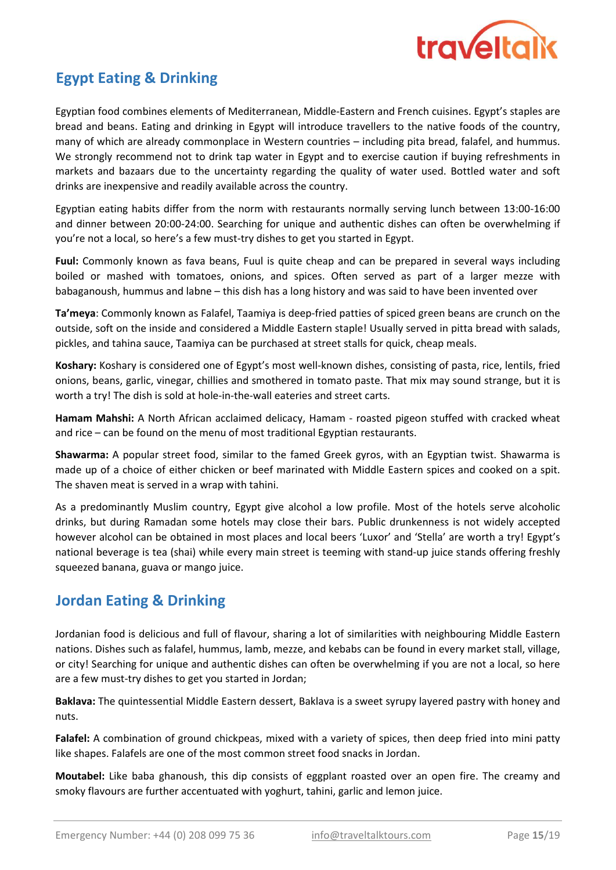

# Egypt Eating & Drinking

Egyptian food combines elements of Mediterranean, Middle-Eastern and French cuisines. Egypt's staples are bread and beans. Eating and drinking in Egypt will introduce travellers to the native foods of the country, many of which are already commonplace in Western countries – including pita bread, falafel, and hummus. We strongly recommend not to drink tap water in Egypt and to exercise caution if buying refreshments in markets and bazaars due to the uncertainty regarding the quality of water used. Bottled water and soft drinks are inexpensive and readily available across the country.

Egyptian eating habits differ from the norm with restaurants normally serving lunch between 13:00-16:00 and dinner between 20:00-24:00. Searching for unique and authentic dishes can often be overwhelming if you're not a local, so here's a few must-try dishes to get you started in Egypt.

Fuul: Commonly known as fava beans, Fuul is quite cheap and can be prepared in several ways including boiled or mashed with tomatoes, onions, and spices. Often served as part of a larger mezze with babaganoush, hummus and labne – this dish has a long history and was said to have been invented over

Ta'meya: Commonly known as Falafel, Taamiya is deep-fried patties of spiced green beans are crunch on the outside, soft on the inside and considered a Middle Eastern staple! Usually served in pitta bread with salads, pickles, and tahina sauce, Taamiya can be purchased at street stalls for quick, cheap meals.

Koshary: Koshary is considered one of Egypt's most well-known dishes, consisting of pasta, rice, lentils, fried onions, beans, garlic, vinegar, chillies and smothered in tomato paste. That mix may sound strange, but it is worth a try! The dish is sold at hole-in-the-wall eateries and street carts.

Hamam Mahshi: A North African acclaimed delicacy, Hamam - roasted pigeon stuffed with cracked wheat and rice – can be found on the menu of most traditional Egyptian restaurants.

Shawarma: A popular street food, similar to the famed Greek gyros, with an Egyptian twist. Shawarma is made up of a choice of either chicken or beef marinated with Middle Eastern spices and cooked on a spit. The shaven meat is served in a wrap with tahini.

As a predominantly Muslim country, Egypt give alcohol a low profile. Most of the hotels serve alcoholic drinks, but during Ramadan some hotels may close their bars. Public drunkenness is not widely accepted however alcohol can be obtained in most places and local beers 'Luxor' and 'Stella' are worth a try! Egypt's national beverage is tea (shai) while every main street is teeming with stand-up juice stands offering freshly squeezed banana, guava or mango juice.

## Jordan Eating & Drinking

Jordanian food is delicious and full of flavour, sharing a lot of similarities with neighbouring Middle Eastern nations. Dishes such as falafel, hummus, lamb, mezze, and kebabs can be found in every market stall, village, or city! Searching for unique and authentic dishes can often be overwhelming if you are not a local, so here are a few must-try dishes to get you started in Jordan;

Baklava: The quintessential Middle Eastern dessert, Baklava is a sweet syrupy layered pastry with honey and nuts.

Falafel: A combination of ground chickpeas, mixed with a variety of spices, then deep fried into mini patty like shapes. Falafels are one of the most common street food snacks in Jordan.

Moutabel: Like baba ghanoush, this dip consists of eggplant roasted over an open fire. The creamy and smoky flavours are further accentuated with yoghurt, tahini, garlic and lemon juice.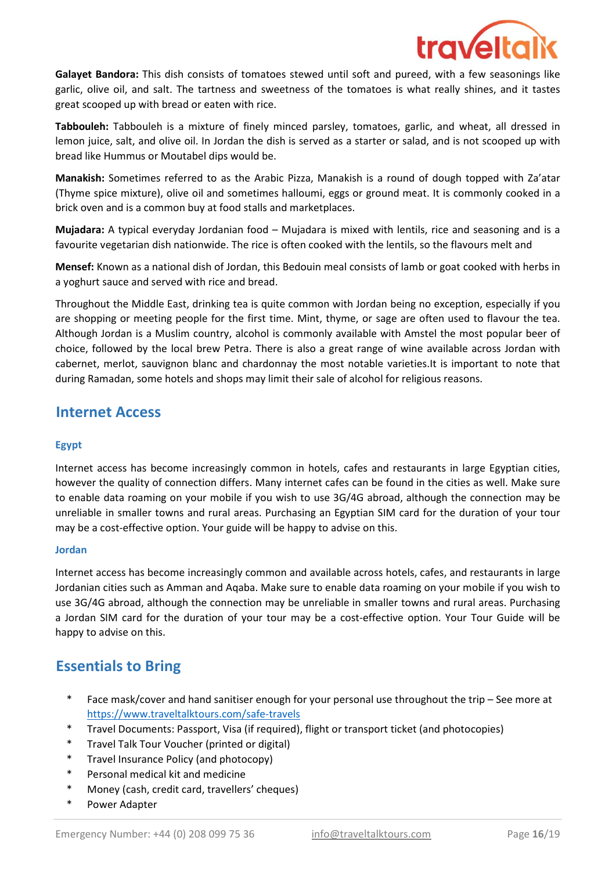

Galayet Bandora: This dish consists of tomatoes stewed until soft and pureed, with a few seasonings like garlic, olive oil, and salt. The tartness and sweetness of the tomatoes is what really shines, and it tastes great scooped up with bread or eaten with rice.

Tabbouleh: Tabbouleh is a mixture of finely minced parsley, tomatoes, garlic, and wheat, all dressed in lemon juice, salt, and olive oil. In Jordan the dish is served as a starter or salad, and is not scooped up with bread like Hummus or Moutabel dips would be.

Manakish: Sometimes referred to as the Arabic Pizza, Manakish is a round of dough topped with Za'atar (Thyme spice mixture), olive oil and sometimes halloumi, eggs or ground meat. It is commonly cooked in a brick oven and is a common buy at food stalls and marketplaces.

Mujadara: A typical everyday Jordanian food – Mujadara is mixed with lentils, rice and seasoning and is a favourite vegetarian dish nationwide. The rice is often cooked with the lentils, so the flavours melt and

Mensef: Known as a national dish of Jordan, this Bedouin meal consists of lamb or goat cooked with herbs in a yoghurt sauce and served with rice and bread.

Throughout the Middle East, drinking tea is quite common with Jordan being no exception, especially if you are shopping or meeting people for the first time. Mint, thyme, or sage are often used to flavour the tea. Although Jordan is a Muslim country, alcohol is commonly available with Amstel the most popular beer of choice, followed by the local brew Petra. There is also a great range of wine available across Jordan with cabernet, merlot, sauvignon blanc and chardonnay the most notable varieties.It is important to note that during Ramadan, some hotels and shops may limit their sale of alcohol for religious reasons.

## Internet Access

#### Egypt

Internet access has become increasingly common in hotels, cafes and restaurants in large Egyptian cities, however the quality of connection differs. Many internet cafes can be found in the cities as well. Make sure to enable data roaming on your mobile if you wish to use 3G/4G abroad, although the connection may be unreliable in smaller towns and rural areas. Purchasing an Egyptian SIM card for the duration of your tour may be a cost-effective option. Your guide will be happy to advise on this.

#### Jordan

Internet access has become increasingly common and available across hotels, cafes, and restaurants in large Jordanian cities such as Amman and Aqaba. Make sure to enable data roaming on your mobile if you wish to use 3G/4G abroad, although the connection may be unreliable in smaller towns and rural areas. Purchasing a Jordan SIM card for the duration of your tour may be a cost-effective option. Your Tour Guide will be happy to advise on this.

# Essentials to Bring

- \* Face mask/cover and hand sanitiser enough for your personal use throughout the trip – See more at https://www.traveltalktours.com/safe-travels
- \* Travel Documents: Passport, Visa (if required), flight or transport ticket (and photocopies)
- \* Travel Talk Tour Voucher (printed or digital)
- \* Travel Insurance Policy (and photocopy)
- \* Personal medical kit and medicine
- \* Money (cash, credit card, travellers' cheques)
- \* Power Adapter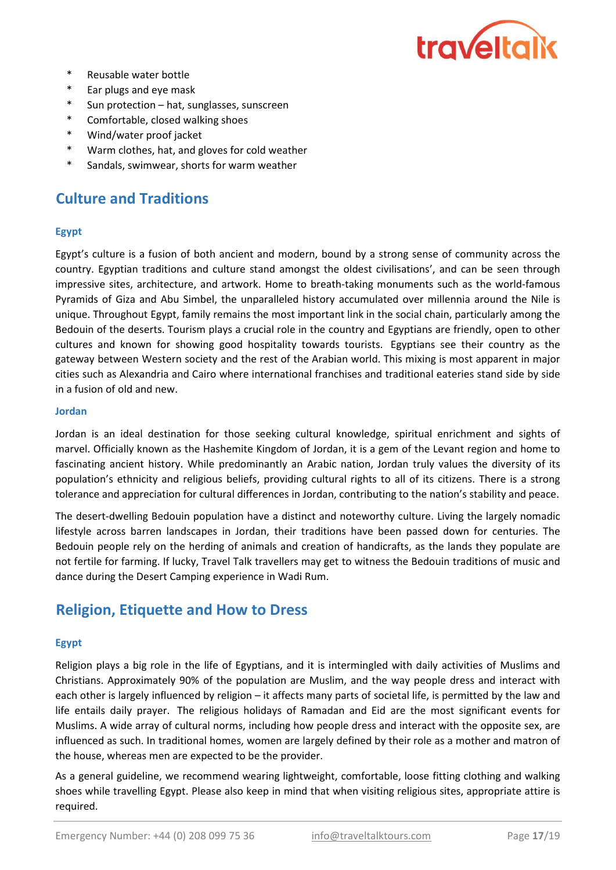

- \* Reusable water bottle
- \* Ear plugs and eye mask
- \* Sun protection – hat, sunglasses, sunscreen
- \* Comfortable, closed walking shoes
- \* Wind/water proof jacket
- \* Warm clothes, hat, and gloves for cold weather
- \* Sandals, swimwear, shorts for warm weather

# Culture and Traditions

#### Egypt

Egypt's culture is a fusion of both ancient and modern, bound by a strong sense of community across the country. Egyptian traditions and culture stand amongst the oldest civilisations', and can be seen through impressive sites, architecture, and artwork. Home to breath-taking monuments such as the world-famous Pyramids of Giza and Abu Simbel, the unparalleled history accumulated over millennia around the Nile is unique. Throughout Egypt, family remains the most important link in the social chain, particularly among the Bedouin of the deserts. Tourism plays a crucial role in the country and Egyptians are friendly, open to other cultures and known for showing good hospitality towards tourists. Egyptians see their country as the gateway between Western society and the rest of the Arabian world. This mixing is most apparent in major cities such as Alexandria and Cairo where international franchises and traditional eateries stand side by side in a fusion of old and new.

#### Jordan

Jordan is an ideal destination for those seeking cultural knowledge, spiritual enrichment and sights of marvel. Officially known as the Hashemite Kingdom of Jordan, it is a gem of the Levant region and home to fascinating ancient history. While predominantly an Arabic nation, Jordan truly values the diversity of its population's ethnicity and religious beliefs, providing cultural rights to all of its citizens. There is a strong tolerance and appreciation for cultural differences in Jordan, contributing to the nation's stability and peace.

The desert-dwelling Bedouin population have a distinct and noteworthy culture. Living the largely nomadic lifestyle across barren landscapes in Jordan, their traditions have been passed down for centuries. The Bedouin people rely on the herding of animals and creation of handicrafts, as the lands they populate are not fertile for farming. If lucky, Travel Talk travellers may get to witness the Bedouin traditions of music and dance during the Desert Camping experience in Wadi Rum.

## Religion, Etiquette and How to Dress

#### Egypt

Religion plays a big role in the life of Egyptians, and it is intermingled with daily activities of Muslims and Christians. Approximately 90% of the population are Muslim, and the way people dress and interact with each other is largely influenced by religion – it affects many parts of societal life, is permitted by the law and life entails daily prayer. The religious holidays of Ramadan and Eid are the most significant events for Muslims. A wide array of cultural norms, including how people dress and interact with the opposite sex, are influenced as such. In traditional homes, women are largely defined by their role as a mother and matron of the house, whereas men are expected to be the provider.

As a general guideline, we recommend wearing lightweight, comfortable, loose fitting clothing and walking shoes while travelling Egypt. Please also keep in mind that when visiting religious sites, appropriate attire is required.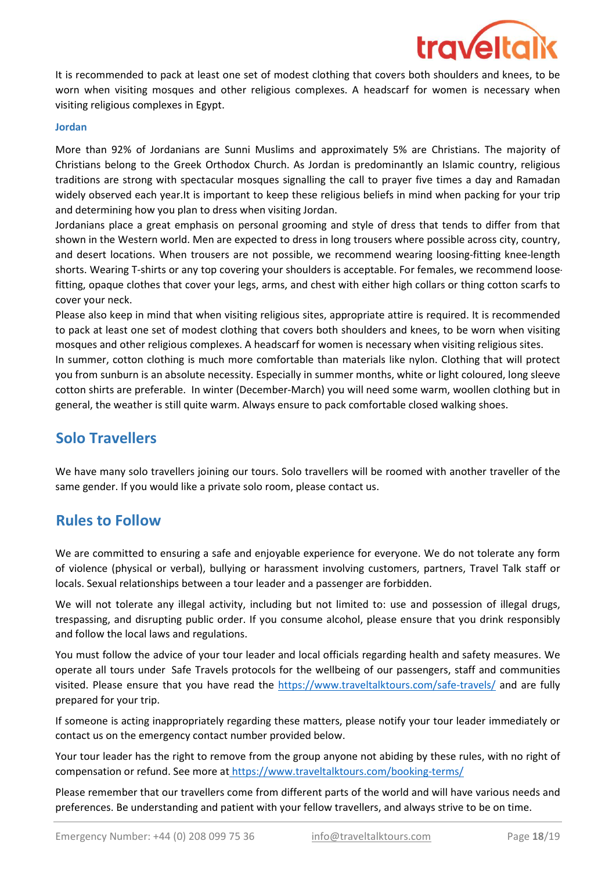

It is recommended to pack at least one set of modest clothing that covers both shoulders and knees, to be worn when visiting mosques and other religious complexes. A headscarf for women is necessary when visiting religious complexes in Egypt.

#### Jordan

More than 92% of Jordanians are Sunni Muslims and approximately 5% are Christians. The majority of Christians belong to the Greek Orthodox Church. As Jordan is predominantly an Islamic country, religious traditions are strong with spectacular mosques signalling the call to prayer five times a day and Ramadan widely observed each year.It is important to keep these religious beliefs in mind when packing for your trip and determining how you plan to dress when visiting Jordan.

Jordanians place a great emphasis on personal grooming and style of dress that tends to differ from that shown in the Western world. Men are expected to dress in long trousers where possible across city, country, and desert locations. When trousers are not possible, we recommend wearing loosing-fitting knee-length shorts. Wearing T-shirts or any top covering your shoulders is acceptable. For females, we recommend loosefitting, opaque clothes that cover your legs, arms, and chest with either high collars or thing cotton scarfs to cover your neck.

Please also keep in mind that when visiting religious sites, appropriate attire is required. It is recommended to pack at least one set of modest clothing that covers both shoulders and knees, to be worn when visiting mosques and other religious complexes. A headscarf for women is necessary when visiting religious sites.

In summer, cotton clothing is much more comfortable than materials like nylon. Clothing that will protect you from sunburn is an absolute necessity. Especially in summer months, white or light coloured, long sleeve cotton shirts are preferable. In winter (December-March) you will need some warm, woollen clothing but in general, the weather is still quite warm. Always ensure to pack comfortable closed walking shoes.

## Solo Travellers

We have many solo travellers joining our tours. Solo travellers will be roomed with another traveller of the same gender. If you would like a private solo room, please contact us.

## Rules to Follow

We are committed to ensuring a safe and enjoyable experience for everyone. We do not tolerate any form of violence (physical or verbal), bullying or harassment involving customers, partners, Travel Talk staff or locals. Sexual relationships between a tour leader and a passenger are forbidden.

We will not tolerate any illegal activity, including but not limited to: use and possession of illegal drugs, trespassing, and disrupting public order. If you consume alcohol, please ensure that you drink responsibly and follow the local laws and regulations.

You must follow the advice of your tour leader and local officials regarding health and safety measures. We operate all tours under Safe Travels protocols for the wellbeing of our passengers, staff and communities visited. Please ensure that you have read the https://www.traveltalktours.com/safe-travels/ and are fully prepared for your trip.

If someone is acting inappropriately regarding these matters, please notify your tour leader immediately or contact us on the emergency contact number provided below.

Your tour leader has the right to remove from the group anyone not abiding by these rules, with no right of compensation or refund. See more at https://www.traveltalktours.com/booking-terms/

Please remember that our travellers come from different parts of the world and will have various needs and preferences. Be understanding and patient with your fellow travellers, and always strive to be on time.